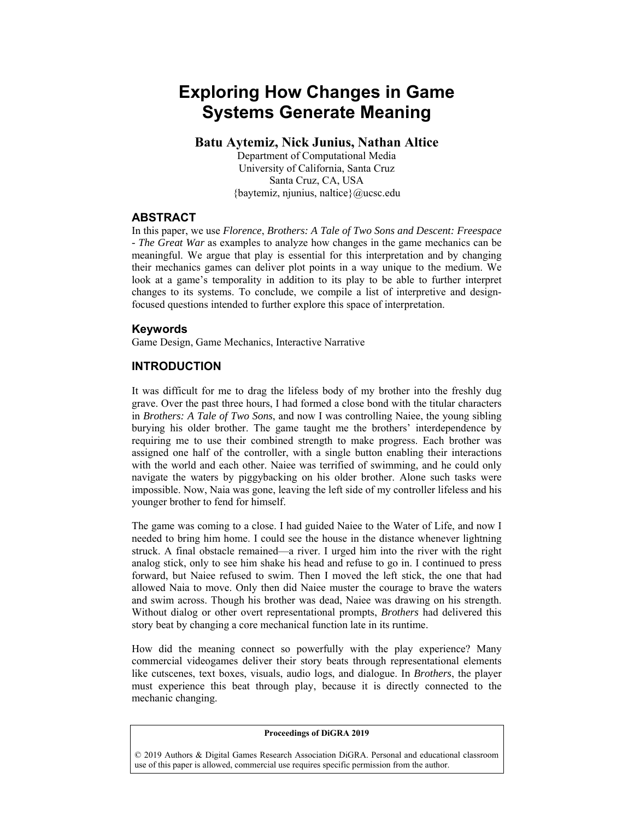# **Exploring How Changes in Game Systems Generate Meaning**

### **Batu Aytemiz, Nick Junius, Nathan Altice**

Department of Computational Media University of California, Santa Cruz Santa Cruz, CA, USA {baytemiz, njunius, naltice}@ucsc.edu

#### **ABSTRACT**

In this paper, we use *Florence*, *Brothers: A Tale of Two Sons and Descent: Freespace - The Great War* as examples to analyze how changes in the game mechanics can be meaningful. We argue that play is essential for this interpretation and by changing their mechanics games can deliver plot points in a way unique to the medium. We look at a game's temporality in addition to its play to be able to further interpret changes to its systems. To conclude, we compile a list of interpretive and designfocused questions intended to further explore this space of interpretation.

#### **Keywords**

Game Design, Game Mechanics, Interactive Narrative

### **INTRODUCTION**

It was difficult for me to drag the lifeless body of my brother into the freshly dug grave. Over the past three hours, I had formed a close bond with the titular characters in *Brothers: A Tale of Two Sons*, and now I was controlling Naiee, the young sibling burying his older brother. The game taught me the brothers' interdependence by requiring me to use their combined strength to make progress. Each brother was assigned one half of the controller, with a single button enabling their interactions with the world and each other. Naiee was terrified of swimming, and he could only navigate the waters by piggybacking on his older brother. Alone such tasks were impossible. Now, Naia was gone, leaving the left side of my controller lifeless and his younger brother to fend for himself.

The game was coming to a close. I had guided Naiee to the Water of Life, and now I needed to bring him home. I could see the house in the distance whenever lightning struck. A final obstacle remained—a river. I urged him into the river with the right analog stick, only to see him shake his head and refuse to go in. I continued to press forward, but Naiee refused to swim. Then I moved the left stick, the one that had allowed Naia to move. Only then did Naiee muster the courage to brave the waters and swim across. Though his brother was dead, Naiee was drawing on his strength. Without dialog or other overt representational prompts, *Brothers* had delivered this story beat by changing a core mechanical function late in its runtime.

How did the meaning connect so powerfully with the play experience? Many commercial videogames deliver their story beats through representational elements like cutscenes, text boxes, visuals, audio logs, and dialogue. In *Brothers*, the player must experience this beat through play, because it is directly connected to the mechanic changing.

#### **Proceedings of DiGRA 2019**

© 2019 Authors & Digital Games Research Association DiGRA. Personal and educational classroom use of this paper is allowed, commercial use requires specific permission from the author.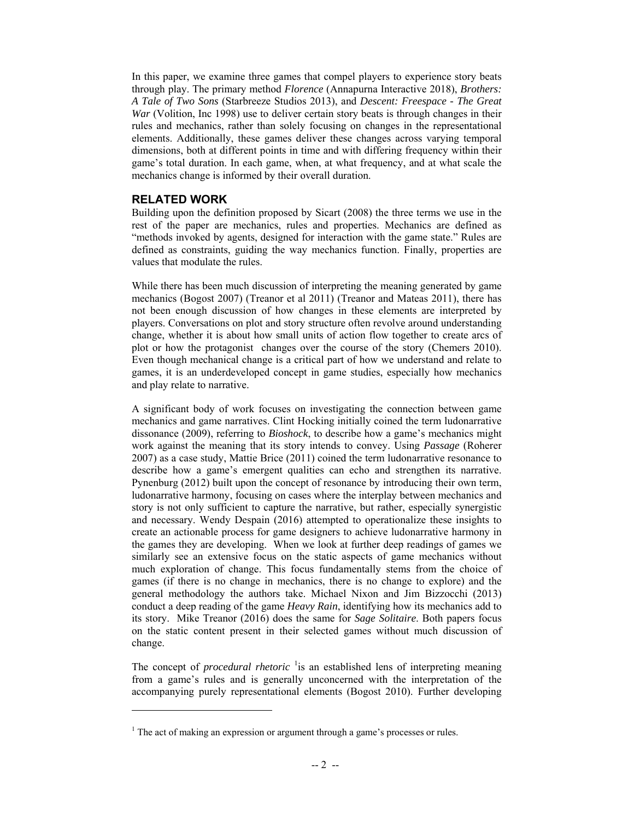In this paper, we examine three games that compel players to experience story beats through play. The primary method *Florence* (Annapurna Interactive 2018), *Brothers: A Tale of Two Sons* (Starbreeze Studios 2013), and *Descent: Freespace - The Great War* (Volition, Inc 1998) use to deliver certain story beats is through changes in their rules and mechanics, rather than solely focusing on changes in the representational elements. Additionally, these games deliver these changes across varying temporal dimensions, both at different points in time and with differing frequency within their game's total duration. In each game, when, at what frequency, and at what scale the mechanics change is informed by their overall duration.

## **RELATED WORK**

l

Building upon the definition proposed by Sicart (2008) the three terms we use in the rest of the paper are mechanics, rules and properties. Mechanics are defined as "methods invoked by agents, designed for interaction with the game state." Rules are defined as constraints, guiding the way mechanics function. Finally, properties are values that modulate the rules.

While there has been much discussion of interpreting the meaning generated by game mechanics (Bogost 2007) (Treanor et al 2011) (Treanor and Mateas 2011), there has not been enough discussion of how changes in these elements are interpreted by players. Conversations on plot and story structure often revolve around understanding change, whether it is about how small units of action flow together to create arcs of plot or how the protagonist changes over the course of the story (Chemers 2010). Even though mechanical change is a critical part of how we understand and relate to games, it is an underdeveloped concept in game studies, especially how mechanics and play relate to narrative.

A significant body of work focuses on investigating the connection between game mechanics and game narratives. Clint Hocking initially coined the term ludonarrative dissonance (2009), referring to *Bioshock*, to describe how a game's mechanics might work against the meaning that its story intends to convey. Using *Passage* (Roherer 2007) as a case study, Mattie Brice (2011) coined the term ludonarrative resonance to describe how a game's emergent qualities can echo and strengthen its narrative. Pynenburg (2012) built upon the concept of resonance by introducing their own term, ludonarrative harmony, focusing on cases where the interplay between mechanics and story is not only sufficient to capture the narrative, but rather, especially synergistic and necessary. Wendy Despain (2016) attempted to operationalize these insights to create an actionable process for game designers to achieve ludonarrative harmony in the games they are developing. When we look at further deep readings of games we similarly see an extensive focus on the static aspects of game mechanics without much exploration of change. This focus fundamentally stems from the choice of games (if there is no change in mechanics, there is no change to explore) and the general methodology the authors take. Michael Nixon and Jim Bizzocchi (2013) conduct a deep reading of the game *Heavy Rain*, identifying how its mechanics add to its story. Mike Treanor (2016) does the same for *Sage Solitaire*. Both papers focus on the static content present in their selected games without much discussion of change.

The concept of *procedural rhetoric* <sup>1</sup> is an established lens of interpreting meaning from a game's rules and is generally unconcerned with the interpretation of the accompanying purely representational elements (Bogost 2010). Further developing

 $<sup>1</sup>$  The act of making an expression or argument through a game's processes or rules.</sup>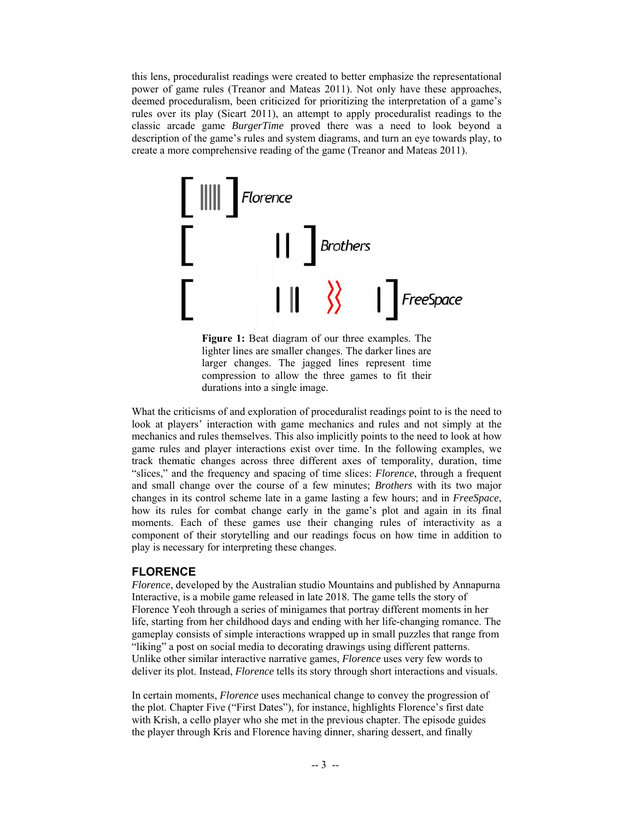this lens, proceduralist readings were created to better emphasize the representational power of game rules (Treanor and Mateas 2011). Not only have these approaches, deemed proceduralism, been criticized for prioritizing the interpretation of a game's rules over its play (Sicart 2011), an attempt to apply proceduralist readings to the classic arcade game *BurgerTime* proved there was a need to look beyond a description of the game's rules and system diagrams, and turn an eye towards play, to create a more comprehensive reading of the game (Treanor and Mateas 2011).



**Figure 1:** Beat diagram of our three examples. The lighter lines are smaller changes. The darker lines are larger changes. The jagged lines represent time compression to allow the three games to fit their durations into a single image.

What the criticisms of and exploration of proceduralist readings point to is the need to look at players' interaction with game mechanics and rules and not simply at the mechanics and rules themselves. This also implicitly points to the need to look at how game rules and player interactions exist over time. In the following examples, we track thematic changes across three different axes of temporality, duration, time "slices," and the frequency and spacing of time slices: *Florence*, through a frequent and small change over the course of a few minutes; *Brothers* with its two major changes in its control scheme late in a game lasting a few hours; and in *FreeSpace*, how its rules for combat change early in the game's plot and again in its final moments. Each of these games use their changing rules of interactivity as a component of their storytelling and our readings focus on how time in addition to play is necessary for interpreting these changes.

### **FLORENCE**

*Florence*, developed by the Australian studio Mountains and published by Annapurna Interactive, is a mobile game released in late 2018. The game tells the story of Florence Yeoh through a series of minigames that portray different moments in her life, starting from her childhood days and ending with her life-changing romance. The gameplay consists of simple interactions wrapped up in small puzzles that range from "liking" a post on social media to decorating drawings using different patterns. Unlike other similar interactive narrative games, *Florence* uses very few words to deliver its plot. Instead, *Florence* tells its story through short interactions and visuals.

In certain moments, *Florence* uses mechanical change to convey the progression of the plot. Chapter Five ("First Dates"), for instance, highlights Florence's first date with Krish, a cello player who she met in the previous chapter. The episode guides the player through Kris and Florence having dinner, sharing dessert, and finally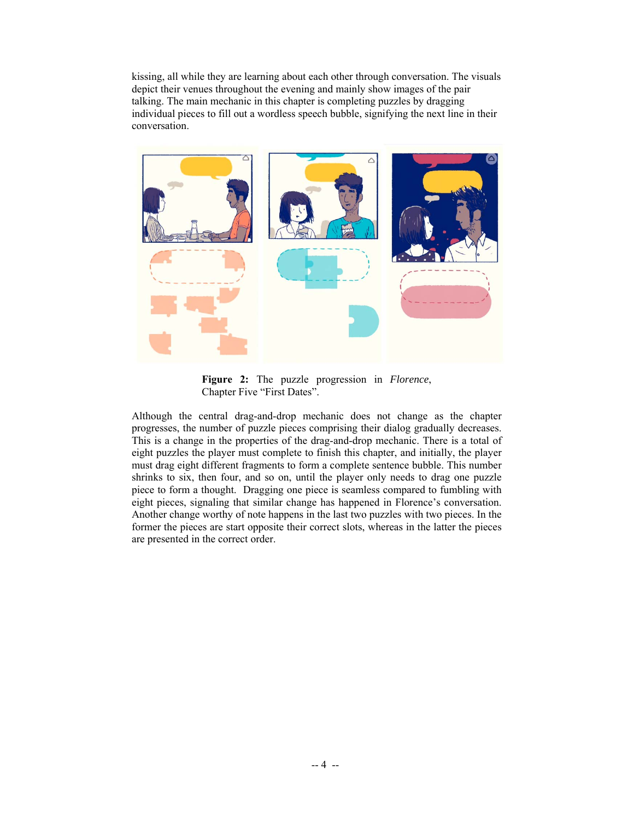kissing, all while they are learning about each other through conversation. The visuals depict their venues throughout the evening and mainly show images of the pair talking. The main mechanic in this chapter is completing puzzles by dragging individual pieces to fill out a wordless speech bubble, signifying the next line in their conversation.



**Figure 2:** The puzzle progression in *Florence*, Chapter Five "First Dates".

Although the central drag-and-drop mechanic does not change as the chapter progresses, the number of puzzle pieces comprising their dialog gradually decreases. This is a change in the properties of the drag-and-drop mechanic. There is a total of eight puzzles the player must complete to finish this chapter, and initially, the player must drag eight different fragments to form a complete sentence bubble. This number shrinks to six, then four, and so on, until the player only needs to drag one puzzle piece to form a thought. Dragging one piece is seamless compared to fumbling with eight pieces, signaling that similar change has happened in Florence's conversation. Another change worthy of note happens in the last two puzzles with two pieces. In the former the pieces are start opposite their correct slots, whereas in the latter the pieces are presented in the correct order.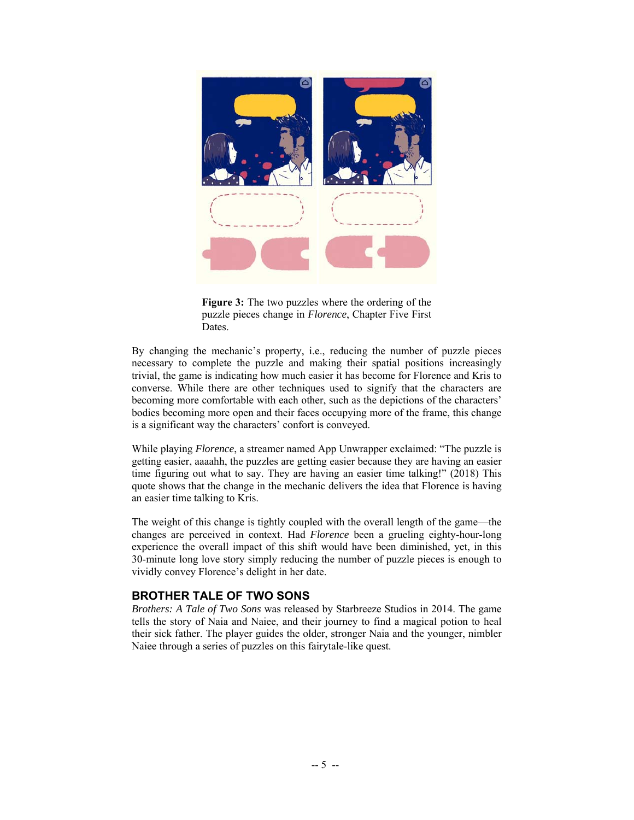

**Figure 3:** The two puzzles where the ordering of the puzzle pieces change in *Florence*, Chapter Five First Dates.

By changing the mechanic's property, i.e., reducing the number of puzzle pieces necessary to complete the puzzle and making their spatial positions increasingly trivial, the game is indicating how much easier it has become for Florence and Kris to converse. While there are other techniques used to signify that the characters are becoming more comfortable with each other, such as the depictions of the characters' bodies becoming more open and their faces occupying more of the frame, this change is a significant way the characters' confort is conveyed.

While playing *Florence*, a streamer named App Unwrapper exclaimed: "The puzzle is getting easier, aaaahh, the puzzles are getting easier because they are having an easier time figuring out what to say. They are having an easier time talking!" (2018) This quote shows that the change in the mechanic delivers the idea that Florence is having an easier time talking to Kris.

The weight of this change is tightly coupled with the overall length of the game—the changes are perceived in context. Had *Florence* been a grueling eighty-hour-long experience the overall impact of this shift would have been diminished, yet, in this 30-minute long love story simply reducing the number of puzzle pieces is enough to vividly convey Florence's delight in her date.

### **BROTHER TALE OF TWO SONS**

*Brothers: A Tale of Two Sons* was released by Starbreeze Studios in 2014. The game tells the story of Naia and Naiee, and their journey to find a magical potion to heal their sick father. The player guides the older, stronger Naia and the younger, nimbler Naiee through a series of puzzles on this fairytale-like quest.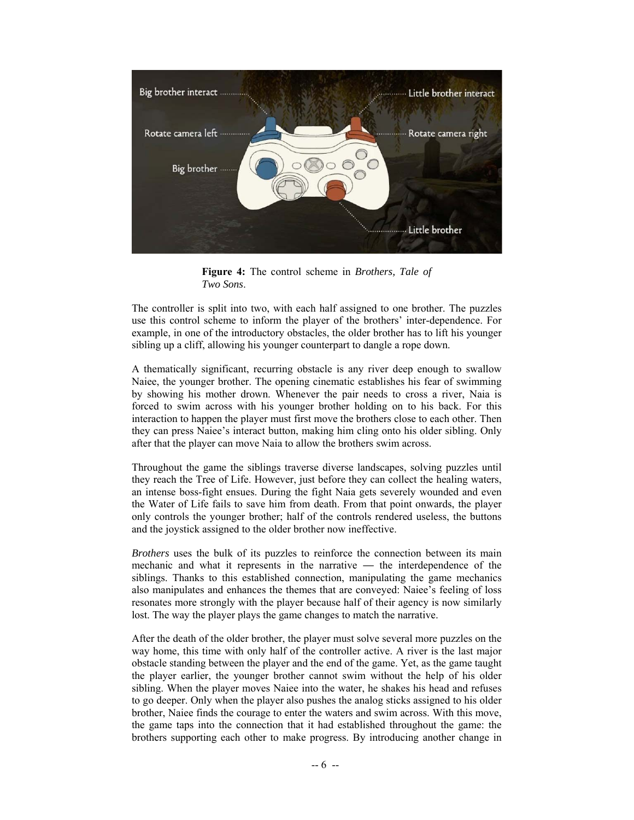

**Figure 4:** The control scheme in *Brothers, Tale of Two Sons*.

The controller is split into two, with each half assigned to one brother. The puzzles use this control scheme to inform the player of the brothers' inter-dependence. For example, in one of the introductory obstacles, the older brother has to lift his younger sibling up a cliff, allowing his younger counterpart to dangle a rope down.

A thematically significant, recurring obstacle is any river deep enough to swallow Naiee, the younger brother. The opening cinematic establishes his fear of swimming by showing his mother drown. Whenever the pair needs to cross a river, Naia is forced to swim across with his younger brother holding on to his back. For this interaction to happen the player must first move the brothers close to each other. Then they can press Naiee's interact button, making him cling onto his older sibling. Only after that the player can move Naia to allow the brothers swim across.

Throughout the game the siblings traverse diverse landscapes, solving puzzles until they reach the Tree of Life. However, just before they can collect the healing waters, an intense boss-fight ensues. During the fight Naia gets severely wounded and even the Water of Life fails to save him from death. From that point onwards, the player only controls the younger brother; half of the controls rendered useless, the buttons and the joystick assigned to the older brother now ineffective.

*Brothers* uses the bulk of its puzzles to reinforce the connection between its main mechanic and what it represents in the narrative — the interdependence of the siblings. Thanks to this established connection, manipulating the game mechanics also manipulates and enhances the themes that are conveyed: Naiee's feeling of loss resonates more strongly with the player because half of their agency is now similarly lost. The way the player plays the game changes to match the narrative.

After the death of the older brother, the player must solve several more puzzles on the way home, this time with only half of the controller active. A river is the last major obstacle standing between the player and the end of the game. Yet, as the game taught the player earlier, the younger brother cannot swim without the help of his older sibling. When the player moves Naiee into the water, he shakes his head and refuses to go deeper. Only when the player also pushes the analog sticks assigned to his older brother, Naiee finds the courage to enter the waters and swim across. With this move, the game taps into the connection that it had established throughout the game: the brothers supporting each other to make progress. By introducing another change in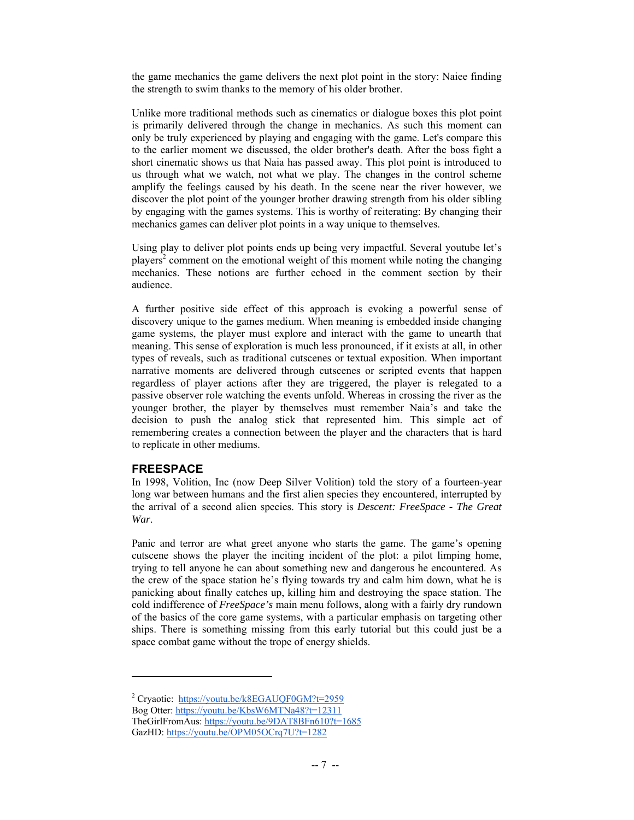the game mechanics the game delivers the next plot point in the story: Naiee finding the strength to swim thanks to the memory of his older brother.

Unlike more traditional methods such as cinematics or dialogue boxes this plot point is primarily delivered through the change in mechanics. As such this moment can only be truly experienced by playing and engaging with the game. Let's compare this to the earlier moment we discussed, the older brother's death. After the boss fight a short cinematic shows us that Naia has passed away. This plot point is introduced to us through what we watch, not what we play. The changes in the control scheme amplify the feelings caused by his death. In the scene near the river however, we discover the plot point of the younger brother drawing strength from his older sibling by engaging with the games systems. This is worthy of reiterating: By changing their mechanics games can deliver plot points in a way unique to themselves.

Using play to deliver plot points ends up being very impactful. Several youtube let's players<sup>2</sup> comment on the emotional weight of this moment while noting the changing mechanics. These notions are further echoed in the comment section by their audience.

A further positive side effect of this approach is evoking a powerful sense of discovery unique to the games medium. When meaning is embedded inside changing game systems, the player must explore and interact with the game to unearth that meaning. This sense of exploration is much less pronounced, if it exists at all, in other types of reveals, such as traditional cutscenes or textual exposition. When important narrative moments are delivered through cutscenes or scripted events that happen regardless of player actions after they are triggered, the player is relegated to a passive observer role watching the events unfold. Whereas in crossing the river as the younger brother, the player by themselves must remember Naia's and take the decision to push the analog stick that represented him. This simple act of remembering creates a connection between the player and the characters that is hard to replicate in other mediums.

## **FREESPACE**

 $\overline{a}$ 

In 1998, Volition, Inc (now Deep Silver Volition) told the story of a fourteen-year long war between humans and the first alien species they encountered, interrupted by the arrival of a second alien species. This story is *Descent: FreeSpace - The Great War*.

Panic and terror are what greet anyone who starts the game. The game's opening cutscene shows the player the inciting incident of the plot: a pilot limping home, trying to tell anyone he can about something new and dangerous he encountered. As the crew of the space station he's flying towards try and calm him down, what he is panicking about finally catches up, killing him and destroying the space station. The cold indifference of *FreeSpace's* main menu follows, along with a fairly dry rundown of the basics of the core game systems, with a particular emphasis on targeting other ships. There is something missing from this early tutorial but this could just be a space combat game without the trope of energy shields.

<sup>&</sup>lt;sup>2</sup> Cryaotic: https://youtu.be/k8EGAUQF0GM?t=2959

Bog Otter: https://youtu.be/KbsW6MTNa48?t=12311

TheGirlFromAus: https://youtu.be/9DAT8BFn610?t=1685 GazHD: https://youtu.be/OPM05OCrq7U?t=1282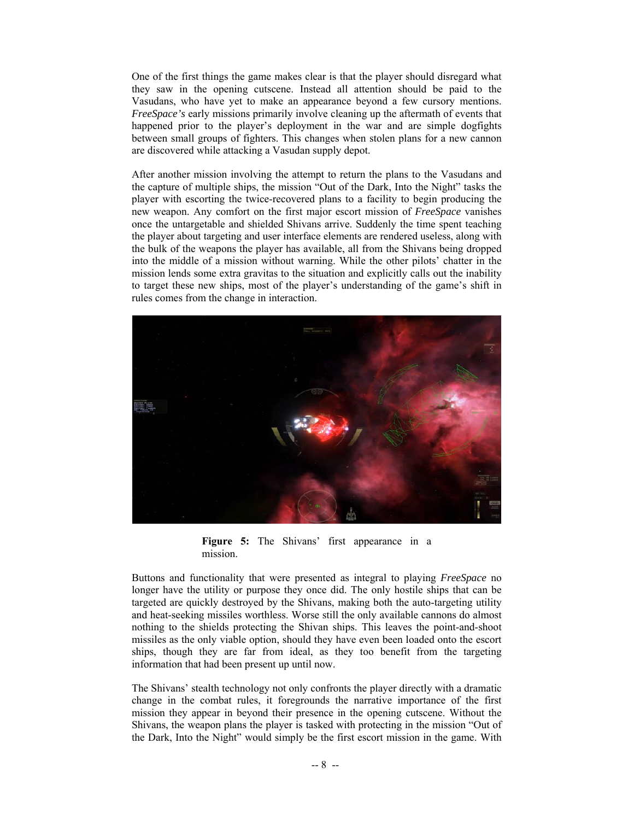One of the first things the game makes clear is that the player should disregard what they saw in the opening cutscene. Instead all attention should be paid to the Vasudans, who have yet to make an appearance beyond a few cursory mentions. *FreeSpace's* early missions primarily involve cleaning up the aftermath of events that happened prior to the player's deployment in the war and are simple dogfights between small groups of fighters. This changes when stolen plans for a new cannon are discovered while attacking a Vasudan supply depot.

After another mission involving the attempt to return the plans to the Vasudans and the capture of multiple ships, the mission "Out of the Dark, Into the Night" tasks the player with escorting the twice-recovered plans to a facility to begin producing the new weapon. Any comfort on the first major escort mission of *FreeSpace* vanishes once the untargetable and shielded Shivans arrive. Suddenly the time spent teaching the player about targeting and user interface elements are rendered useless, along with the bulk of the weapons the player has available, all from the Shivans being dropped into the middle of a mission without warning. While the other pilots' chatter in the mission lends some extra gravitas to the situation and explicitly calls out the inability to target these new ships, most of the player's understanding of the game's shift in rules comes from the change in interaction.



**Figure 5:** The Shivans' first appearance in a mission.

Buttons and functionality that were presented as integral to playing *FreeSpace* no longer have the utility or purpose they once did. The only hostile ships that can be targeted are quickly destroyed by the Shivans, making both the auto-targeting utility and heat-seeking missiles worthless. Worse still the only available cannons do almost nothing to the shields protecting the Shivan ships. This leaves the point-and-shoot missiles as the only viable option, should they have even been loaded onto the escort ships, though they are far from ideal, as they too benefit from the targeting information that had been present up until now.

The Shivans' stealth technology not only confronts the player directly with a dramatic change in the combat rules, it foregrounds the narrative importance of the first mission they appear in beyond their presence in the opening cutscene. Without the Shivans, the weapon plans the player is tasked with protecting in the mission "Out of the Dark, Into the Night" would simply be the first escort mission in the game. With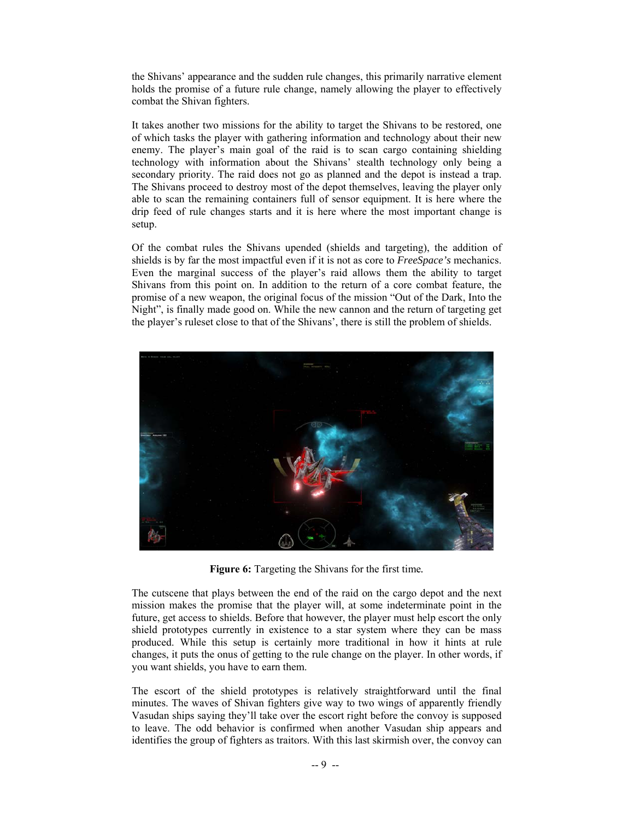the Shivans' appearance and the sudden rule changes, this primarily narrative element holds the promise of a future rule change, namely allowing the player to effectively combat the Shivan fighters.

It takes another two missions for the ability to target the Shivans to be restored, one of which tasks the player with gathering information and technology about their new enemy. The player's main goal of the raid is to scan cargo containing shielding technology with information about the Shivans' stealth technology only being a secondary priority. The raid does not go as planned and the depot is instead a trap. The Shivans proceed to destroy most of the depot themselves, leaving the player only able to scan the remaining containers full of sensor equipment. It is here where the drip feed of rule changes starts and it is here where the most important change is setup.

Of the combat rules the Shivans upended (shields and targeting), the addition of shields is by far the most impactful even if it is not as core to *FreeSpace's* mechanics. Even the marginal success of the player's raid allows them the ability to target Shivans from this point on. In addition to the return of a core combat feature, the promise of a new weapon, the original focus of the mission "Out of the Dark, Into the Night", is finally made good on. While the new cannon and the return of targeting get the player's ruleset close to that of the Shivans', there is still the problem of shields.



**Figure 6:** Targeting the Shivans for the first time*.*

The cutscene that plays between the end of the raid on the cargo depot and the next mission makes the promise that the player will, at some indeterminate point in the future, get access to shields. Before that however, the player must help escort the only shield prototypes currently in existence to a star system where they can be mass produced. While this setup is certainly more traditional in how it hints at rule changes, it puts the onus of getting to the rule change on the player. In other words, if you want shields, you have to earn them.

The escort of the shield prototypes is relatively straightforward until the final minutes. The waves of Shivan fighters give way to two wings of apparently friendly Vasudan ships saying they'll take over the escort right before the convoy is supposed to leave. The odd behavior is confirmed when another Vasudan ship appears and identifies the group of fighters as traitors. With this last skirmish over, the convoy can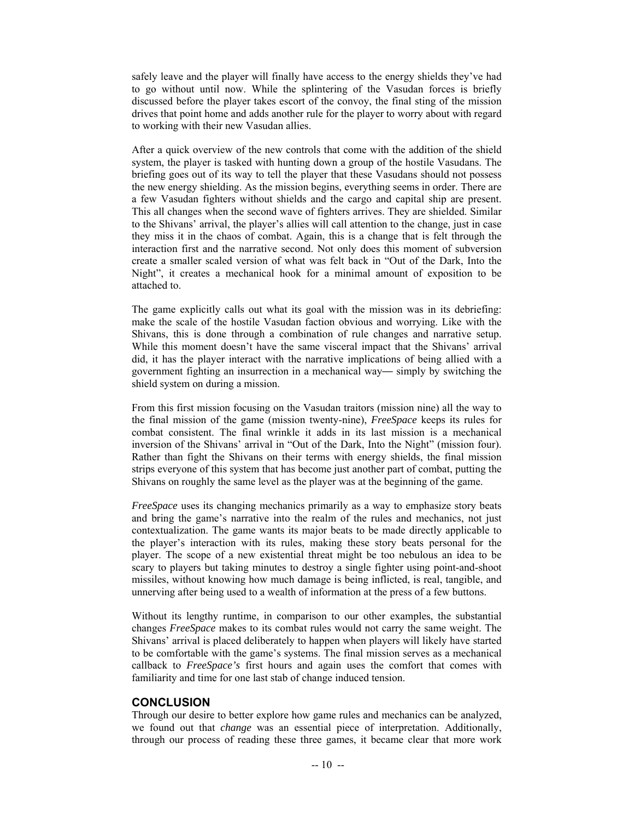safely leave and the player will finally have access to the energy shields they've had to go without until now. While the splintering of the Vasudan forces is briefly discussed before the player takes escort of the convoy, the final sting of the mission drives that point home and adds another rule for the player to worry about with regard to working with their new Vasudan allies.

After a quick overview of the new controls that come with the addition of the shield system, the player is tasked with hunting down a group of the hostile Vasudans. The briefing goes out of its way to tell the player that these Vasudans should not possess the new energy shielding. As the mission begins, everything seems in order. There are a few Vasudan fighters without shields and the cargo and capital ship are present. This all changes when the second wave of fighters arrives. They are shielded. Similar to the Shivans' arrival, the player's allies will call attention to the change, just in case they miss it in the chaos of combat. Again, this is a change that is felt through the interaction first and the narrative second. Not only does this moment of subversion create a smaller scaled version of what was felt back in "Out of the Dark, Into the Night", it creates a mechanical hook for a minimal amount of exposition to be attached to.

The game explicitly calls out what its goal with the mission was in its debriefing: make the scale of the hostile Vasudan faction obvious and worrying. Like with the Shivans, this is done through a combination of rule changes and narrative setup. While this moment doesn't have the same visceral impact that the Shivans' arrival did, it has the player interact with the narrative implications of being allied with a government fighting an insurrection in a mechanical way— simply by switching the shield system on during a mission.

From this first mission focusing on the Vasudan traitors (mission nine) all the way to the final mission of the game (mission twenty-nine), *FreeSpace* keeps its rules for combat consistent. The final wrinkle it adds in its last mission is a mechanical inversion of the Shivans' arrival in "Out of the Dark, Into the Night" (mission four). Rather than fight the Shivans on their terms with energy shields, the final mission strips everyone of this system that has become just another part of combat, putting the Shivans on roughly the same level as the player was at the beginning of the game.

*FreeSpace* uses its changing mechanics primarily as a way to emphasize story beats and bring the game's narrative into the realm of the rules and mechanics, not just contextualization. The game wants its major beats to be made directly applicable to the player's interaction with its rules, making these story beats personal for the player. The scope of a new existential threat might be too nebulous an idea to be scary to players but taking minutes to destroy a single fighter using point-and-shoot missiles, without knowing how much damage is being inflicted, is real, tangible, and unnerving after being used to a wealth of information at the press of a few buttons.

Without its lengthy runtime, in comparison to our other examples, the substantial changes *FreeSpace* makes to its combat rules would not carry the same weight. The Shivans' arrival is placed deliberately to happen when players will likely have started to be comfortable with the game's systems. The final mission serves as a mechanical callback to *FreeSpace's* first hours and again uses the comfort that comes with familiarity and time for one last stab of change induced tension.

### **CONCLUSION**

Through our desire to better explore how game rules and mechanics can be analyzed, we found out that *change* was an essential piece of interpretation. Additionally, through our process of reading these three games, it became clear that more work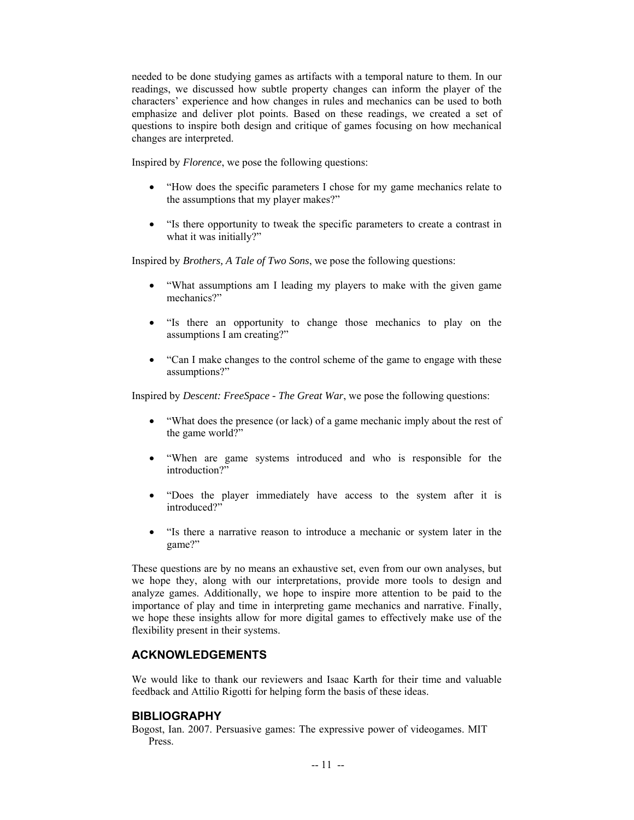needed to be done studying games as artifacts with a temporal nature to them. In our readings, we discussed how subtle property changes can inform the player of the characters' experience and how changes in rules and mechanics can be used to both emphasize and deliver plot points. Based on these readings, we created a set of questions to inspire both design and critique of games focusing on how mechanical changes are interpreted.

Inspired by *Florence*, we pose the following questions:

- "How does the specific parameters I chose for my game mechanics relate to the assumptions that my player makes?"
- "Is there opportunity to tweak the specific parameters to create a contrast in what it was initially?"

Inspired by *Brothers, A Tale of Two Sons*, we pose the following questions:

- "What assumptions am I leading my players to make with the given game mechanics?"
- "Is there an opportunity to change those mechanics to play on the assumptions I am creating?"
- "Can I make changes to the control scheme of the game to engage with these assumptions?"

Inspired by *Descent: FreeSpace - The Great War*, we pose the following questions:

- "What does the presence (or lack) of a game mechanic imply about the rest of the game world?"
- "When are game systems introduced and who is responsible for the introduction?"
- "Does the player immediately have access to the system after it is introduced?"
- "Is there a narrative reason to introduce a mechanic or system later in the game?"

These questions are by no means an exhaustive set, even from our own analyses, but we hope they, along with our interpretations, provide more tools to design and analyze games. Additionally, we hope to inspire more attention to be paid to the importance of play and time in interpreting game mechanics and narrative. Finally, we hope these insights allow for more digital games to effectively make use of the flexibility present in their systems.

## **ACKNOWLEDGEMENTS**

We would like to thank our reviewers and Isaac Karth for their time and valuable feedback and Attilio Rigotti for helping form the basis of these ideas.

### **BIBLIOGRAPHY**

Bogost, Ian. 2007. Persuasive games: The expressive power of videogames. MIT Press.